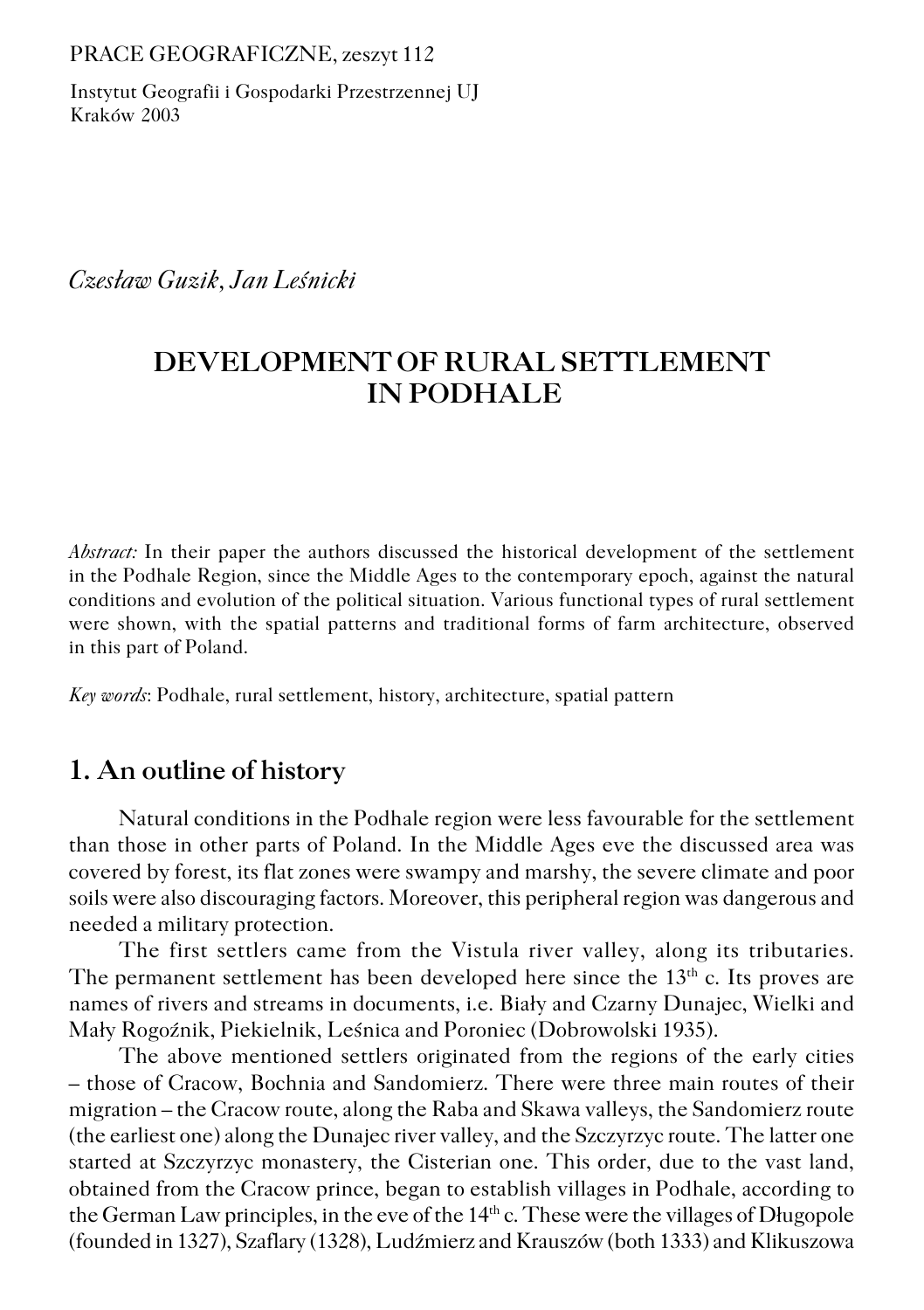PRACE GEOGRAFICZNE, zeszyt 112

Instytut Geografii i Gospodarki Przestrzennej UJ Kraków 2003

*Czesław Guzik, Jan Leśnicki*

# **DEVELOPMENT OF RURAL SETTLEMENT IN PODHALE**

*Abstract:* In their paper the authors discussed the historical development of the settlement inthe Podhale Region, since the Middle Ages to the contemporary epoch, against the natural conditions and evolution of the political situation. Various functional types of rural settlement were shown, with the spatial patterns and traditional forms of farm architecture, observed in this part of Poland.

*Key words*: Podhale, rural settlement, history, architecture, spatial pattern

### **1. An outline of history**

Natural conditions in the Podhale region were less favourable for the settlement than those in other parts of Poland. In the Middle Ages eve the discussed area was covered by forest, its flat zones were swampy and marshy, the severe climate and poor soils were also discouraging factors. Moreover, this peripheral region was dangerous and needed a military protection.

The first settlers came from the Vistula river valley, along its tributaries. The permanent settlement has been developed here since the  $13<sup>th</sup>$  c. Its proves are names of rivers and streams in documents, i.e. Biały and Czarny Dunajec, Wielki and Mały Rogoźnik, Piekielnik, Leśnica and Poroniec (Dobrowolski 1935).

The above mentioned settlers originated from the regions of the early cities – those of Cracow, Bochnia and Sandomierz. There were three main routes of their migration – the Cracow route, along the Raba and Skawa valleys, the Sandomierz route (the earliest one) along the Dunajec river valley, and the Szczyrzyc route. The latter one started at Szczyrzyc monastery, the Cisterian one. This order, due to the vast land, obtained from the Cracow prince, began to establish villages in Podhale, according to the German Law principles, in the eve of the 14<sup>th</sup> c. These were the villages of Długopole (founded in 1327), Szaflary (1328), Ludźmierz and Krauszów (both 1333) and Klikuszowa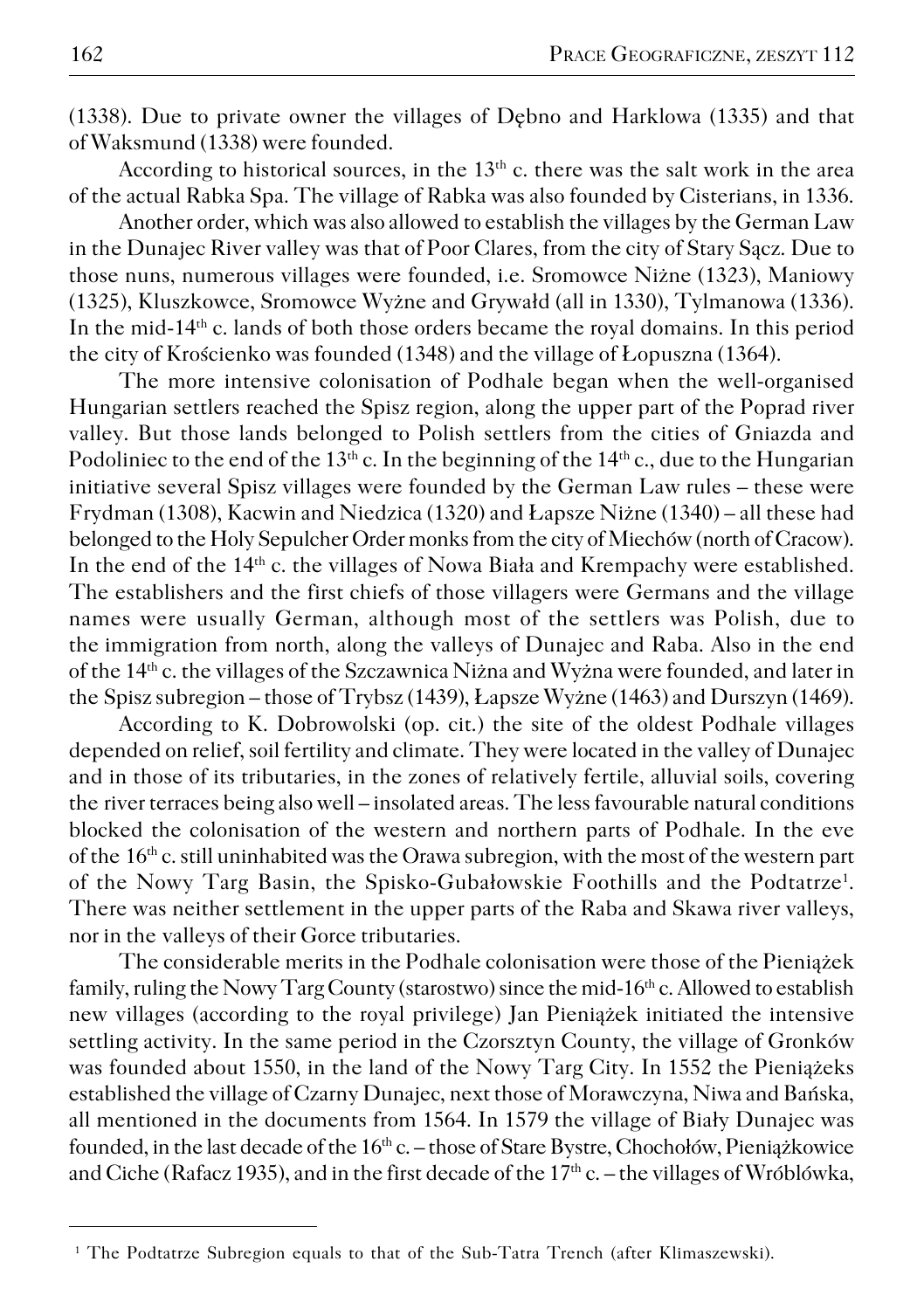(1338). Due to private owner the villages of Dębno and Harklowa (1335) and that of Waksmund (1338) were founded.

According to historical sources, in the  $13<sup>th</sup>$  c. there was the salt work in the area of the actual Rabka Spa. The village of Rabka was also founded by Cisterians, in 1336.

Another order, which was also allowed to establish the villages by the German Law in the Dunajec River valley was that of Poor Clares, from the city of Stary Sącz. Due to those nuns, numerous villages were founded, i.e. Sromowce Niżne (1323), Maniowy (1325), Kluszkowce, Sromowce Wyżne and Grywałd (all in 1330), Tylmanowa (1336). In the mid−14th c. lands of both those orders became the royal domains. In this period thecity of Krościenko was founded (1348) and the village of Łopuszna (1364).

The more intensive colonisation of Podhale began when the well−organised Hungarian settlers reached the Spisz region, along the upper part of the Poprad river valley. But those lands belonged to Polish settlers from the cities of Gniazda and Podoliniec to the end of the  $13<sup>th</sup>$  c. In the beginning of the  $14<sup>th</sup>$  c., due to the Hungarian initiative several Spisz villages were founded by the German Law rules – these were Frydman (1308), Kacwin and Niedzica (1320) and Łapsze Niżne (1340) – all these had belonged to the Holy Sepulcher Order monks from the city of Miechów (north of Cracow). In the end of the 14th c. the villages of Nowa Biała and Krempachy were established. The establishers and the first chiefs of those villagers were Germans and the village names were usually German, although most of the settlers was Polish, due to the immigration from north, along the valleys of Dunajec and Raba. Also in the end of the 14th c. the villages of the Szczawnica Niżna and Wyżna were founded, and later in the Spisz subregion – those of Trybsz (1439), Łapsze Wyżne (1463) and Durszyn (1469).

According to K. Dobrowolski (op. cit.) the site of the oldest Podhale villages depended on relief, soil fertility and climate. They were located in the valley of Dunajec and in those of its tributaries, in the zones of relatively fertile, alluvial soils, covering the river terraces being also well – insolated areas. The less favourable natural conditions blocked the colonisation of the western and northern parts of Podhale. In the eve of the  $16<sup>th</sup>$  c. still uninhabited was the Orawa subregion, with the most of the western part of the Nowy Targ Basin, the Spisko-Gubałowskie Foothills and the Podtatrze<sup>1</sup>. There was neither settlement in the upper parts of the Raba and Skawa river valleys, nor in the valleys of their Gorce tributaries.

The considerable merits in the Podhale colonisation were those of the Pieniążek family, ruling the Nowy Targ County (starostwo) since the mid−16th c. Allowed to establish new villages (according to the royal privilege) Jan Pieniążek initiated the intensive settling activity. In the same period in the Czorsztyn County, the village of Gronków was founded about 1550, in the land of the Nowy Targ City. In 1552 the Pieniążeks established the village of Czarny Dunajec, next those of Morawczyna, Niwa and Bańska, all mentioned in the documents from 1564. In 1579 the village of Biały Dunajec was founded, in the last decade of the 16<sup>th</sup> c. – those of Stare Bystre, Chochołów, Pieniążkowice and Ciche (Rafacz 1935), and in the first decade of the 17<sup>th</sup> c. – the villages of Wróblówka,

<sup>1</sup> The Podtatrze Subregion equals to that of the Sub−Tatra Trench (after Klimaszewski).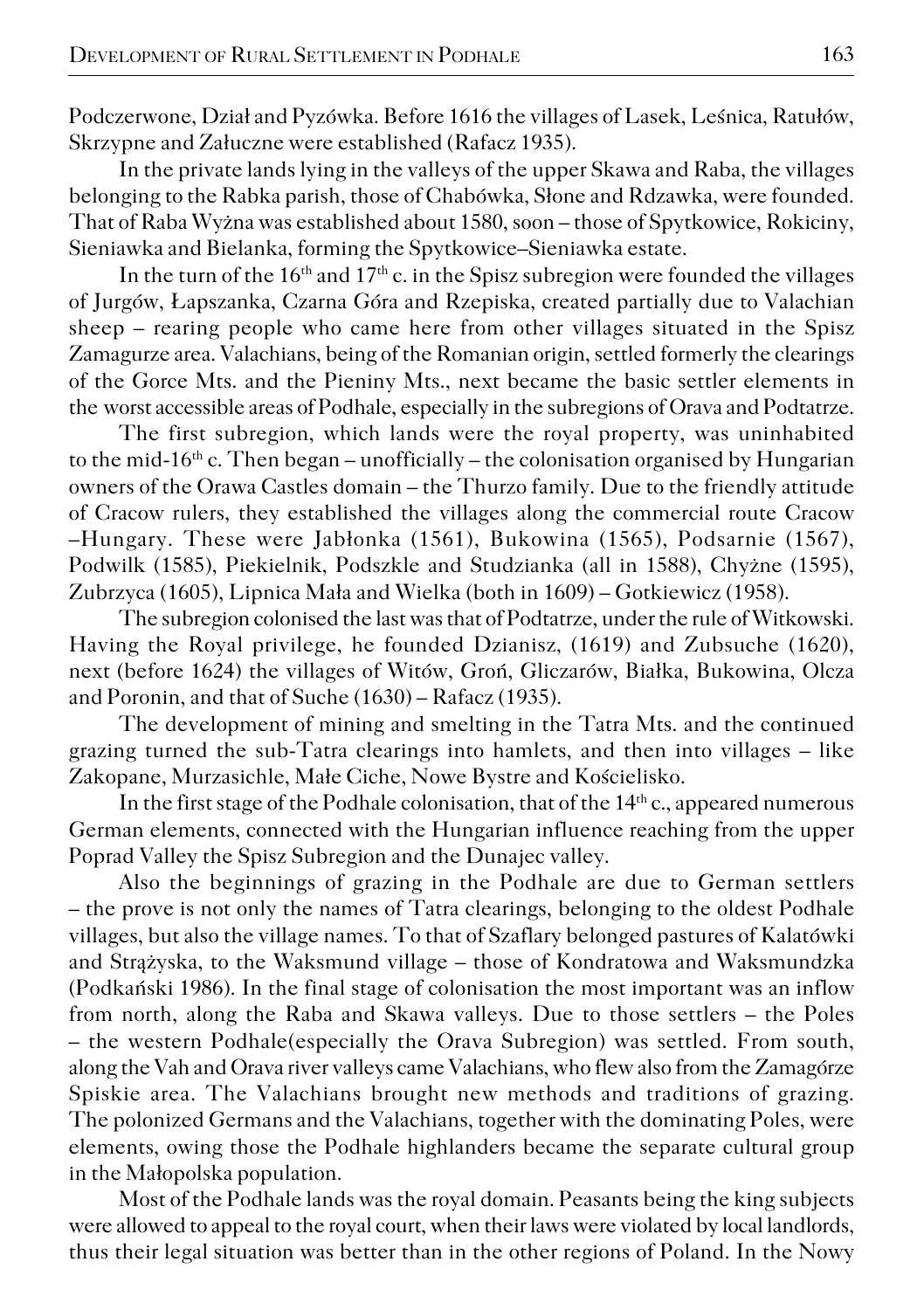Podczerwone, Dział and Pyzówka. Before 1616 the villages of Lasek, Leśnica, Ratułów, Skrzypne and Załuczne were established (Rafacz 1935).

In the private lands lying in the valleys of the upper Skawa and Raba, the villages belonging to the Rabka parish, those of Chabówka, Słone and Rdzawka, were founded. That of Raba Wyżna was established about 1580, soon – those of Spytkowice, Rokiciny, Sieniawka and Bielanka, forming the Spytkowice–Sieniawka estate.

In the turn of the  $16<sup>th</sup>$  and  $17<sup>th</sup>$  c. in the Spisz subregion were founded the villages of Jurgów, Łapszanka, Czarna Góra and Rzepiska, created partially due to Valachian sheep – rearing people who came here from other villages situated in the Spisz Zamagurze area. Valachians, being of the Romanian origin, settled formerly the clearings of the Gorce Mts. and the Pieniny Mts., next became the basic settler elements in theworst accessible areas of Podhale, especially in the subregions of Orava and Podtatrze.

The first subregion, which lands were the royal property, was uninhabited to the mid−16th c. Then began – unofficially – the colonisation organised by Hungarian owners of the Orawa Castles domain – the Thurzo family. Due to the friendly attitude of Cracow rulers, they established the villages along the commercial route Cracow –Hungary. These were Jabłonka (1561), Bukowina (1565), Podsarnie (1567), Podwilk (1585), Piekielnik, Podszkle and Studzianka (all in 1588), Chyżne (1595), Zubrzyca (1605), Lipnica Mała and Wielka (both in 1609) – Gotkiewicz (1958).

The subregion colonised the last was that of Podtatrze, under the rule of Witkowski. Having the Royal privilege, he founded Dzianisz, (1619) and Zubsuche (1620), next (before 1624) the villages of Witów, Groń, Gliczarów, Białka, Bukowina, Olcza and Poronin, and that of Suche (1630) – Rafacz (1935).

The development of mining and smelting in the Tatra Mts. and the continued grazing turned the sub−Tatra clearings into hamlets, and then into villages – like Zakopane, Murzasichle, Małe Ciche, Nowe Bystre and Kościelisko.

In the first stage of the Podhale colonisation, that of the  $14<sup>th</sup>$  c., appeared numerous German elements, connected with the Hungarian influence reaching from the upper Poprad Valley the Spisz Subregion and the Dunajec valley.

Also the beginnings of grazing in the Podhale are due to German settlers – the prove is not only the names of Tatra clearings, belonging to the oldest Podhale villages, but also the village names. To that of Szaflary belonged pastures of Kalatówki and Strążyska, to the Waksmund village – those of Kondratowa and Waksmundzka (Podkański 1986). In the final stage of colonisation the most important was an inflow from north, along the Raba and Skawa valleys. Due to those settlers – the Poles – the western Podhale(especially the Orava Subregion) was settled. From south, along the Vah and Orava river valleys came Valachians, who flew also from the Zamagórze Spiskie area. The Valachians brought new methods and traditions of grazing. The polonized Germans and the Valachians, together with the dominating Poles, were elements, owing those the Podhale highlanders became the separate cultural group in the Małopolska population.

Most of the Podhale lands was the royal domain. Peasants being the king subjects were allowed to appeal to the royal court, when their laws were violated by local landlords, thus their legal situation was better than in the other regions of Poland. In the Nowy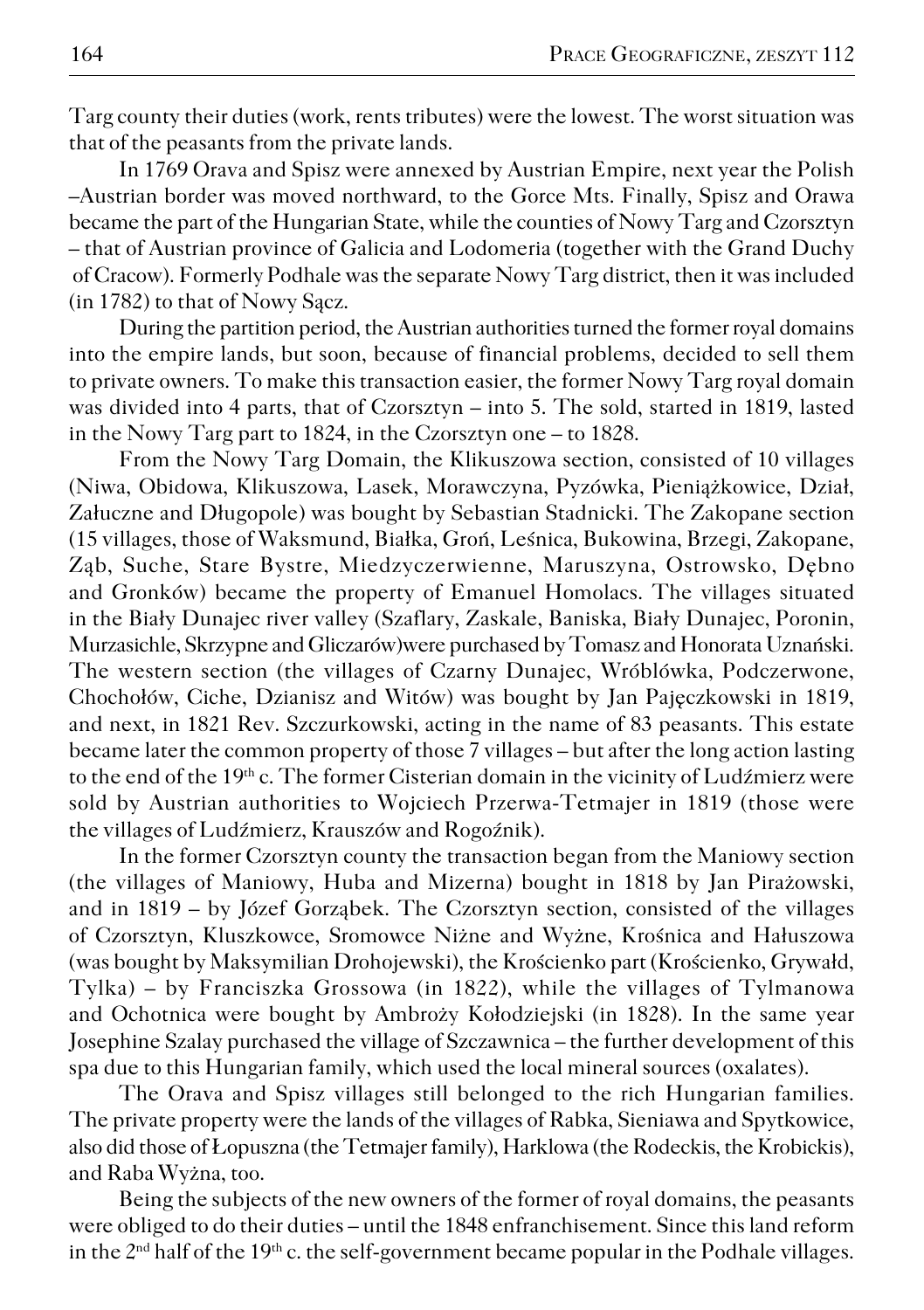Targ county their duties (work, rents tributes) were the lowest. The worst situation was that of the peasants from the private lands.

In 1769 Orava and Spisz were annexed by Austrian Empire, next year the Polish –Austrian border was moved northward, to the Gorce Mts. Finally, Spisz and Orawa became the part of the Hungarian State, while the counties of Nowy Targ and Czorsztyn – that of Austrian province of Galicia and Lodomeria (together with the Grand Duchy of Cracow). Formerly Podhale was the separate Nowy Targ district, then it was included (in 1782) to that of Nowy Sącz.

During the partition period, the Austrian authorities turned the former royal domains into the empire lands, but soon, because of financial problems, decided to sell them to private owners. To make this transaction easier, the former Nowy Targ royal domain was divided into 4 parts, that of Czorsztyn – into 5. The sold, started in 1819, lasted in the Nowy Targ part to 1824, in the Czorsztyn one – to 1828.

From the Nowy Targ Domain, the Klikuszowa section, consisted of 10 villages (Niwa, Obidowa, Klikuszowa, Lasek, Morawczyna, Pyzówka, Pieniążkowice, Dział, Załuczne and Długopole) was bought by Sebastian Stadnicki. The Zakopane section (15 villages, those of Waksmund, Białka, Groń, Leśnica, Bukowina, Brzegi, Zakopane, Ząb, Suche, Stare Bystre, Miedzyczerwienne, Maruszyna, Ostrowsko, Dębno and Gronków) became the property of Emanuel Homolacs. The villages situated in the Biały Dunajec river valley (Szaflary, Zaskale, Baniska, Biały Dunajec, Poronin, Murzasichle, Skrzypne and Gliczarów)were purchased by Tomasz and Honorata Uznański. The western section (the villages of Czarny Dunajec, Wróblówka, Podczerwone, Chochołów, Ciche, Dzianisz and Witów) was bought by Jan Pajęczkowski in 1819, and next, in 1821 Rev. Szczurkowski, acting in the name of 83 peasants. This estate became later the common property of those 7 villages – but after the long action lasting to the end of the 19<sup>th</sup> c. The former Cisterian domain in the vicinity of Ludźmierz were sold by Austrian authorities to Wojciech Przerwa−Tetmajer in 1819 (those were the villages of Ludźmierz, Krauszów and Rogoźnik).

In the former Czorsztyn county the transaction began from the Maniowy section (the villages of Maniowy, Huba and Mizerna) bought in 1818 by Jan Pirażowski, and in 1819 – by Józef Gorząbek. The Czorsztyn section, consisted of the villages of Czorsztyn, Kluszkowce, Sromowce Niżne and Wyżne, Krośnica and Hałuszowa (was bought by Maksymilian Drohojewski), the Krościenko part (Krościenko, Grywałd, Tylka) – by Franciszka Grossowa (in 1822), while the villages of Tylmanowa and Ochotnica were bought by Ambroży Kołodziejski (in 1828). In the same year Josephine Szalay purchased the village of Szczawnica – the further development of this spa due to this Hungarian family, which used the local mineral sources (oxalates).

The Orava and Spisz villages still belonged to the rich Hungarian families. The private property were the lands of the villages of Rabka, Sieniawa and Spytkowice, also did those of Łopuszna (the Tetmajer family), Harklowa (the Rodeckis, the Krobickis), and Raba Wyżna, too.

Being the subjects of the new owners of the former of royal domains, the peasants were obliged to do their duties – until the 1848 enfranchisement. Since this land reform in the 2<sup>nd</sup> half of the 19<sup>th</sup> c. the self-government became popular in the Podhale villages.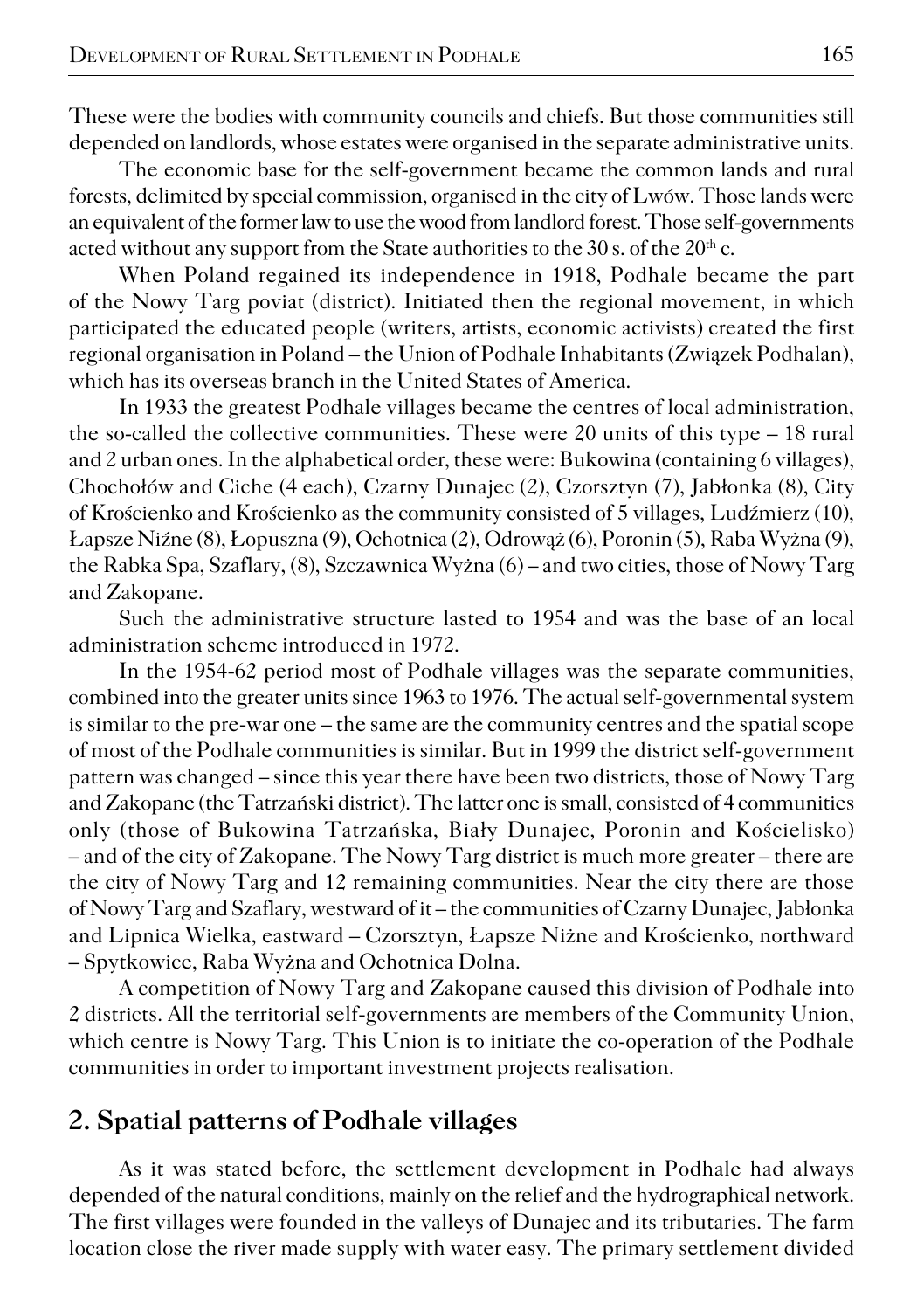These were the bodies with community councils and chiefs. But those communities still depended on landlords, whose estates were organised in the separate administrative units.

The economic base for the self−government became the common lands and rural forests, delimited by special commission, organised in the city of Lwów. Those lands were an equivalent of the former law to use the wood from landlord forest. Those self−governments acted without any support from the State authorities to the  $30$  s. of the  $20<sup>th</sup>$  c.

When Poland regained its independence in 1918, Podhale became the part of the Nowy Targ poviat (district). Initiated then the regional movement, in which participated the educated people (writers, artists, economic activists) created the first regional organisation in Poland – the Union of Podhale Inhabitants (Związek Podhalan), which has its overseas branch in the United States of America.

In 1933 the greatest Podhale villages became the centres of local administration, the so−called the collective communities. These were 20 units of this type – 18 rural and 2 urban ones. In the alphabetical order, these were: Bukowina (containing 6 villages), Chochołów and Ciche (4 each), Czarny Dunajec (2), Czorsztyn (7), Jabłonka (8), City of Krościenko and Krościenko as the community consisted of 5 villages, Ludźmierz (10), Łapsze Niźne (8), Łopuszna (9), Ochotnica (2), Odrowąż (6), Poronin (5), Raba Wyżna (9), the Rabka Spa, Szaflary, (8), Szczawnica Wyżna (6) – and two cities, those of Nowy Targ and Zakopane.

Such the administrative structure lasted to 1954 and was the base of an local administration scheme introduced in 1972.

In the 1954−62 period most of Podhale villages was the separate communities, combined into the greater units since 1963 to 1976. The actual self−governmental system is similar to the pre−war one – the same are the community centres and the spatial scope of most of the Podhale communities is similar. But in 1999 the district self−government pattern was changed – since this year there have been two districts, those of Nowy Targ and Zakopane (the Tatrzański district). The latter one is small, consisted of 4 communities only (those of Bukowina Tatrzańska, Biały Dunajec, Poronin and Kościelisko) – and of the city of Zakopane. The Nowy Targ district is much more greater – there are the city of Nowy Targ and 12 remaining communities. Near the city there are those of Nowy Targ and Szaflary, westward of it – the communities of Czarny Dunajec, Jabłonka and Lipnica Wielka, eastward – Czorsztyn, Łapsze Niżne and Krościenko, northward – Spytkowice, Raba Wyżna and Ochotnica Dolna.

A competition of Nowy Targ and Zakopane caused this division of Podhale into 2 districts. All the territorial self−governments are members of the Community Union, which centre is Nowy Targ. This Union is to initiate the co−operation of the Podhale communities in order to important investment projects realisation.

### **2. Spatial patterns of Podhale villages**

As it was stated before, the settlement development in Podhale had always depended of the natural conditions, mainly on the relief and the hydrographical network. The first villages were founded in the valleys of Dunajec and its tributaries. The farm location close the river made supply with water easy. The primary settlement divided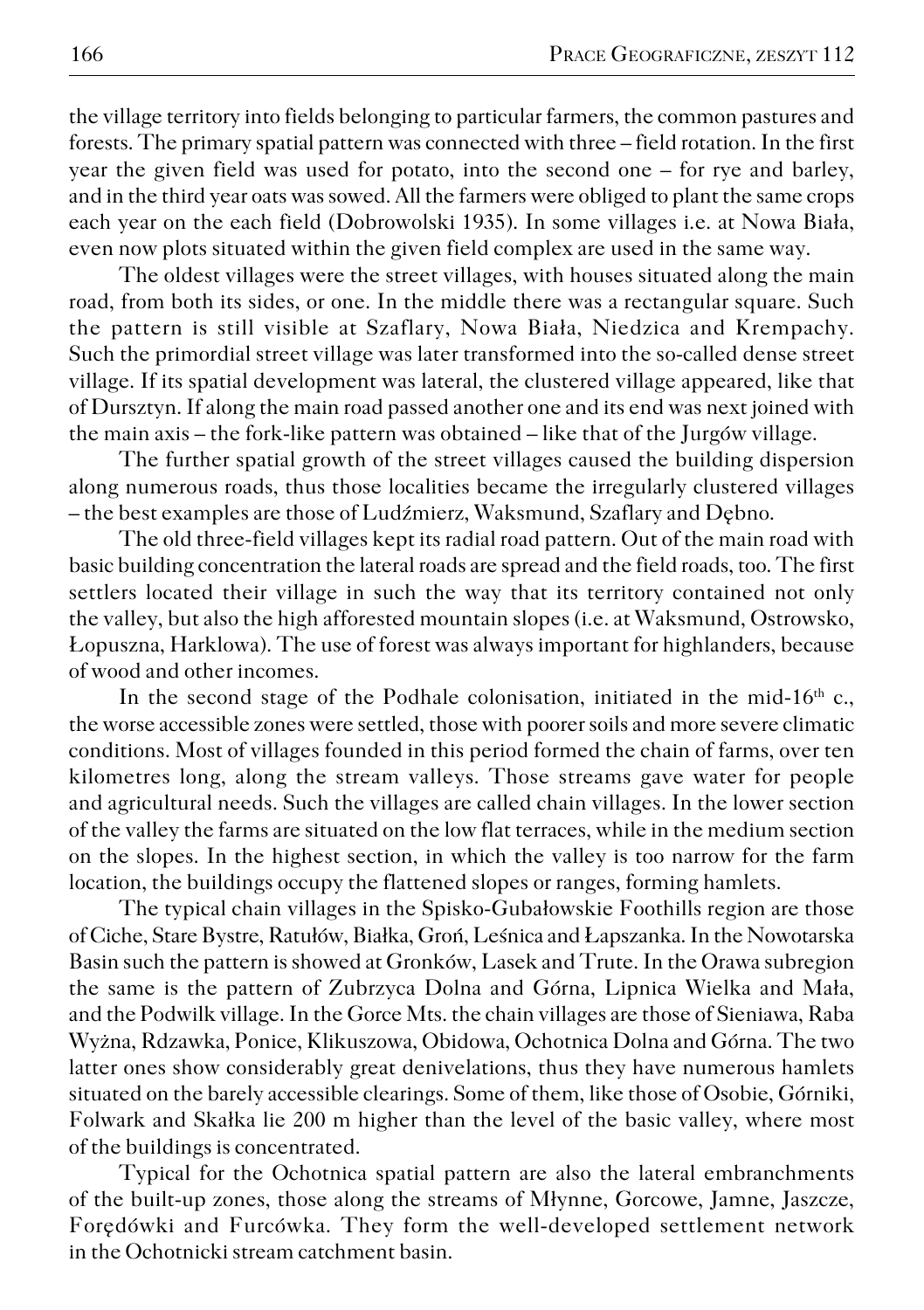the village territory into fields belonging to particular farmers, the common pastures and forests. The primary spatial pattern was connected with three – field rotation. In the first year the given field was used for potato, into the second one – for rye and barley, and in the third year oats was sowed. All the farmers were obliged to plant the same crops each year on the each field (Dobrowolski 1935). In some villages i.e. at Nowa Biała, even now plots situated within the given field complex are used in the same way.

The oldest villages were the street villages, with houses situated along the main road, from both its sides, or one. In the middle there was a rectangular square. Such the pattern is still visible at Szaflary, Nowa Biała, Niedzica and Krempachy. Such the primordial street village was later transformed into the so−called dense street village. If its spatial development was lateral, the clustered village appeared, like that of Dursztyn. If along the main road passed another one and its end was next joined with the main axis – the fork−like pattern was obtained – like that of the Jurgów village.

The further spatial growth of the street villages caused the building dispersion along numerous roads, thus those localities became the irregularly clustered villages – the best examples are those of Ludźmierz, Waksmund, Szaflary and Dębno.

The old three−field villages kept its radial road pattern. Out of the main road with basic building concentration the lateral roads are spread and the field roads, too. The first settlers located their village in such the way that its territory contained not only the valley, but also the high afforested mountain slopes (i.e. at Waksmund, Ostrowsko, Łopuszna, Harklowa). The use of forest was always important for highlanders, because of wood and other incomes.

In the second stage of the Podhale colonisation, initiated in the mid-16<sup>th</sup> c., the worse accessible zones were settled, those with poorer soils and more severe climatic conditions. Most of villages founded in this period formed the chain of farms, over ten kilometres long, along the stream valleys. Those streams gave water for people and agricultural needs. Such the villages are called chain villages. In the lower section of the valley the farms are situated on the low flat terraces, while in the medium section on the slopes. In the highest section, in which the valley is too narrow for the farm location, the buildings occupy the flattened slopes or ranges, forming hamlets.

The typical chain villages in the Spisko−Gubałowskie Foothills region are those of Ciche, Stare Bystre, Ratułów, Białka, Groń, Leśnica and Łapszanka. In the Nowotarska Basin such the pattern is showed at Gronków, Lasek and Trute. In the Orawa subregion the same is the pattern of Zubrzyca Dolna and Górna, Lipnica Wielka and Mała, and the Podwilk village. In the Gorce Mts. the chain villages are those of Sieniawa, Raba Wyżna, Rdzawka, Ponice, Klikuszowa, Obidowa, Ochotnica Dolna and Górna. The two latter ones show considerably great denivelations, thus they have numerous hamlets situated on the barely accessible clearings. Some of them, like those of Osobie, Górniki, Folwark and Skałka lie 200 m higher than the level of the basic valley, where most of the buildings is concentrated.

Typical for the Ochotnica spatial pattern are also the lateral embranchments of the built−up zones, those along the streams of Młynne, Gorcowe, Jamne, Jaszcze, Forędówki and Furcówka. They form the well−developed settlement network in the Ochotnicki stream catchment basin.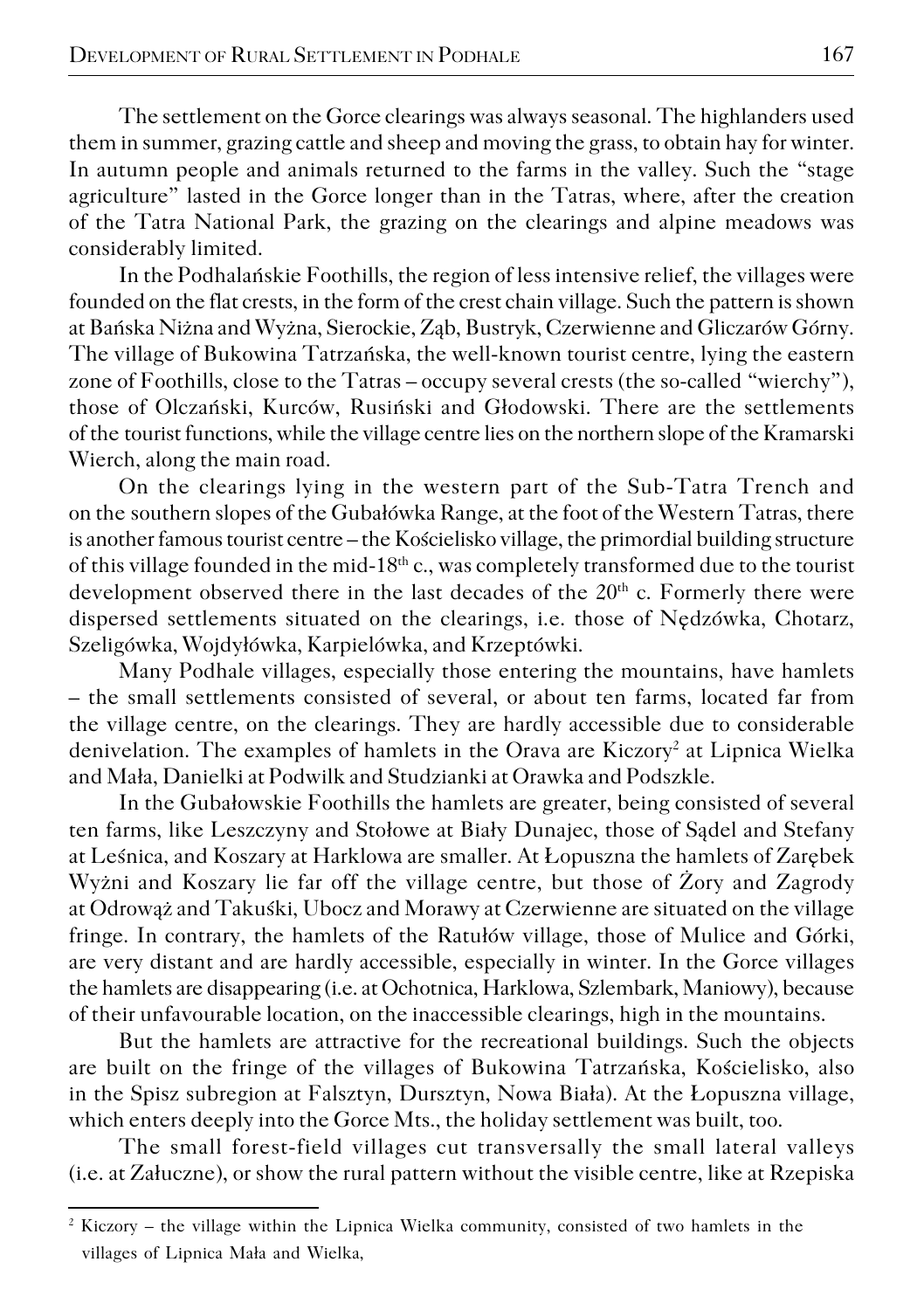The settlement on the Gorce clearings was always seasonal. The highlanders used them in summer, grazing cattle and sheep and moving the grass, to obtain hay for winter. In autumn people and animals returned to the farms in the valley. Such the "stage agriculture" lasted in the Gorce longer than in the Tatras, where, after the creation of the Tatra National Park, the grazing on the clearings and alpine meadows was considerably limited.

In the Podhalańskie Foothills, the region of less intensive relief, the villages were founded on the flat crests, in the form of the crest chain village. Such the pattern is shown at Bańska Niżna and Wyżna, Sierockie, Ząb, Bustryk, Czerwienne and Gliczarów Górny. The village of Bukowina Tatrzańska, the well−known tourist centre, lying the eastern zone of Foothills, close to the Tatras – occupy several crests (the so−called "wierchy"), those of Olczański, Kurców, Rusiński and Głodowski. There are the settlements of the tourist functions, while the village centre lies on the northern slope of the Kramarski Wierch, along the main road.

On the clearings lying in the western part of the Sub−Tatra Trench and on the southern slopes of the Gubałówka Range, at the foot of the Western Tatras, there is another famous tourist centre – the Kościelisko village, the primordial building structure of this village founded in the mid−18th c., was completely transformed due to the tourist development observed there in the last decades of the 20<sup>th</sup> c. Formerly there were dispersed settlements situated on the clearings, i.e. those of Nędzówka, Chotarz, Szeligówka, Wojdyłówka, Karpielówka, and Krzeptówki.

Many Podhale villages, especially those entering the mountains, have hamlets – the small settlements consisted of several, or about ten farms, located far from the village centre, on the clearings. They are hardly accessible due to considerable denivelation. The examples of hamlets in the Orava are Kiczory<sup>2</sup> at Lipnica Wielka and Mała, Danielki at Podwilk and Studzianki at Orawka and Podszkle.

In the Gubałowskie Foothills the hamlets are greater, being consisted of several ten farms, like Leszczyny and Stołowe at Biały Dunajec, those of Sądel and Stefany at Leśnica, and Koszary at Harklowa are smaller. At Łopuszna the hamlets of Zarębek Wyżni and Koszary lie far off the village centre, but those of Żory and Zagrody at Odrowąż and Takuśki, Ubocz and Morawy at Czerwienne are situated on the village fringe. In contrary, the hamlets of the Ratułów village, those of Mulice and Górki, are very distant and are hardly accessible, especially in winter. In the Gorce villages the hamlets are disappearing (i.e. at Ochotnica, Harklowa, Szlembark, Maniowy), because of their unfavourable location, on the inaccessible clearings, high in the mountains.

But the hamlets are attractive for the recreational buildings. Such the objects are built on the fringe of the villages of Bukowina Tatrzańska, Kościelisko, also in the Spisz subregion at Falsztyn, Dursztyn, Nowa Biała). At the Łopuszna village, which enters deeply into the Gorce Mts., the holiday settlement was built, too.

The small forest−field villages cut transversally the small lateral valleys (i.e. at Załuczne), or show the rural pattern without the visible centre, like at Rzepiska

<sup>&</sup>lt;sup>2</sup> Kiczory – the village within the Lipnica Wielka community, consisted of two hamlets in the villages of Lipnica Mała and Wielka,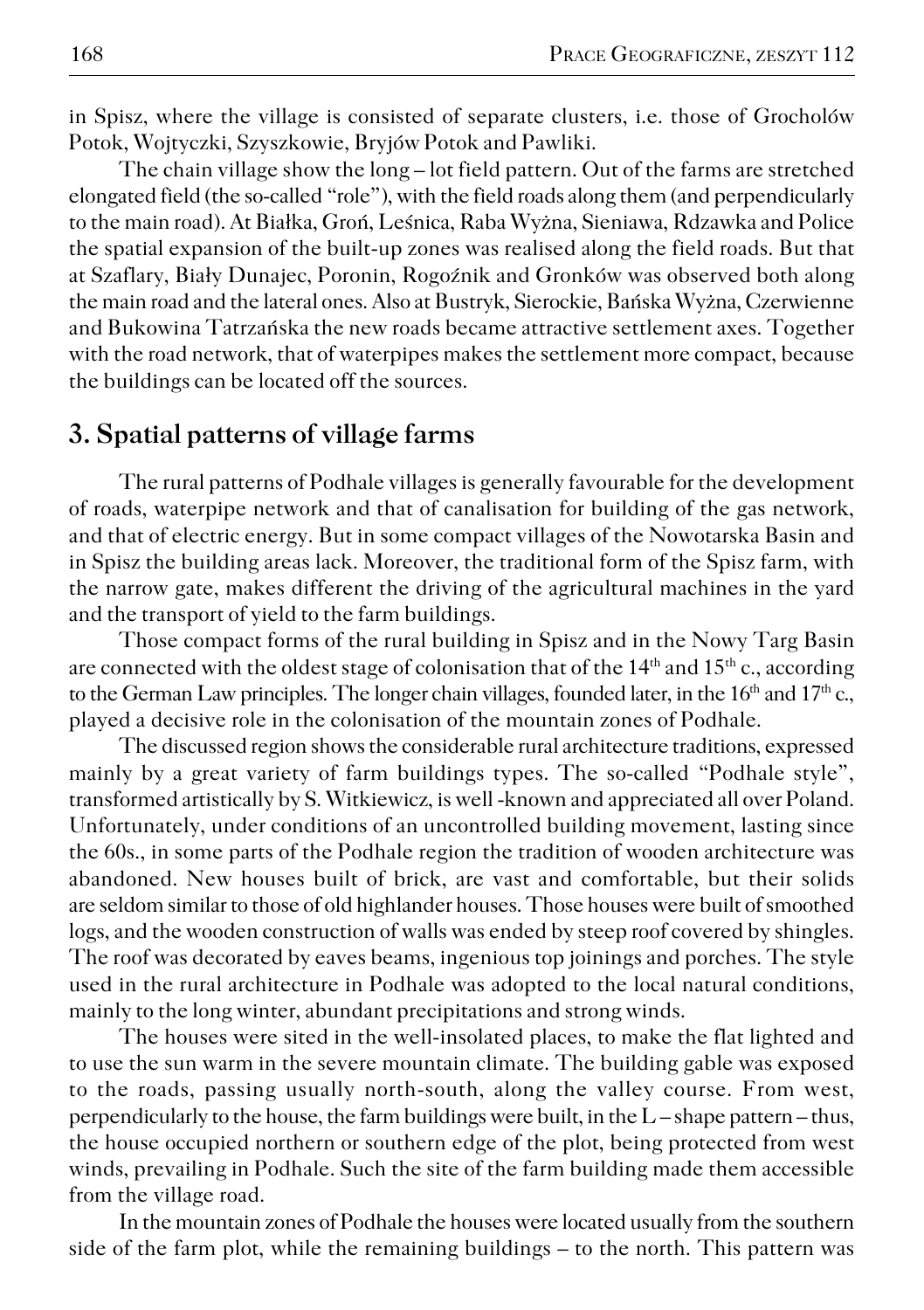in Spisz, where the village is consisted of separate clusters, i.e. those of Grocholów Potok, Wojtyczki, Szyszkowie, Bryjów Potok and Pawliki.

The chain village show the long – lot field pattern. Out of the farms are stretched elongated field (the so−called "role"), with the field roads along them (and perpendicularly to the main road). At Białka, Groń, Leśnica, Raba Wyżna, Sieniawa, Rdzawka and Police the spatial expansion of the built−up zones was realised along the field roads. But that at Szaflary, Biały Dunajec, Poronin, Rogoźnik and Gronków was observed both along the main road and the lateral ones. Also at Bustryk, Sierockie, Bańska Wyżna, Czerwienne and Bukowina Tatrzańska the new roads became attractive settlement axes. Together with the road network, that of waterpipes makes the settlement more compact, because the buildings can be located off the sources.

### **3. Spatial patterns of village farms**

The rural patterns of Podhale villages is generally favourable for the development of roads, waterpipe network and that of canalisation for building of the gas network, and that of electric energy. But in some compact villages of the Nowotarska Basin and in Spisz the building areas lack. Moreover, the traditional form of the Spisz farm, with the narrow gate, makes different the driving of the agricultural machines in the yard and the transport of yield to the farm buildings.

Those compact forms of the rural building in Spisz and in the Nowy Targ Basin are connected with the oldest stage of colonisation that of the  $14<sup>th</sup>$  and  $15<sup>th</sup>$  c., according to the German Law principles. The longer chain villages, founded later, in the  $16<sup>th</sup>$  and  $17<sup>th</sup>$  c., played a decisive role in the colonisation of the mountain zones of Podhale.

The discussed region shows the considerable rural architecture traditions, expressed mainly by a great variety of farm buildings types. The so−called "Podhale style", transformed artistically by S. Witkiewicz, is well −known and appreciated all over Poland. Unfortunately, under conditions of an uncontrolled building movement, lasting since the 60s., in some parts of the Podhale region the tradition of wooden architecture was abandoned. New houses built of brick, are vast and comfortable, but their solids are seldom similar to those of old highlander houses. Those houses were built of smoothed logs, and the wooden construction of walls was ended by steep roof covered by shingles. The roof was decorated by eaves beams, ingenious top joinings and porches. The style used in the rural architecture in Podhale was adopted to the local natural conditions, mainly to the long winter, abundant precipitations and strong winds.

The houses were sited in the well−insolated places, to make the flat lighted and to use the sun warm in the severe mountain climate. The building gable was exposed to the roads, passing usually north−south, along the valley course. From west, perpendicularly to the house, the farm buildings were built, in the L – shape pattern – thus, the house occupied northern or southern edge of the plot, being protected from west winds, prevailing in Podhale. Such the site of the farm building made them accessible from the village road.

In the mountain zones of Podhale the houses were located usually from the southern side of the farm plot, while the remaining buildings – to the north. This pattern was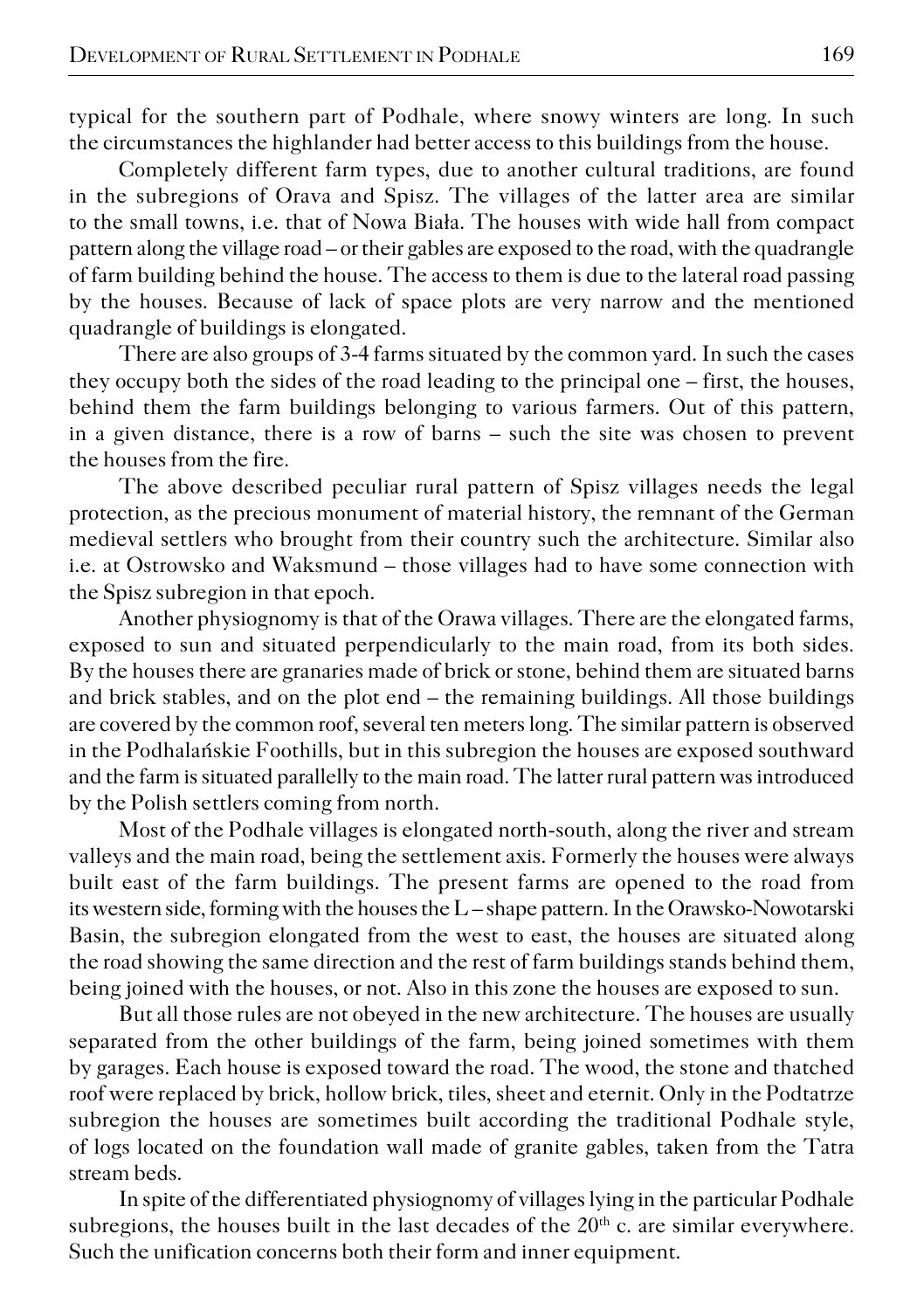typical for the southern part of Podhale, where snowy winters are long. In such the circumstances the highlander had better access to this buildings from the house.

Completely different farm types, due to another cultural traditions, are found in the subregions of Orava and Spisz. The villages of the latter area are similar to the small towns, i.e. that of Nowa Biała. The houses with wide hall from compact pattern along the village road – or their gables are exposed to the road, with the quadrangle of farm building behind the house. The access to them is due to the lateral road passing by the houses. Because of lack of space plots are very narrow and the mentioned quadrangle of buildings is elongated.

There are also groups of 3−4 farms situated by the common yard. In such the cases they occupy both the sides of the road leading to the principal one – first, the houses, behind them the farm buildings belonging to various farmers. Out of this pattern, in a given distance, there is a row of barns – such the site was chosen to prevent the houses from the fire.

The above described peculiar rural pattern of Spisz villages needs the legal protection, as the precious monument of material history, the remnant of the German medieval settlers who brought from their country such the architecture. Similar also i.e. at Ostrowsko and Waksmund – those villages had to have some connection with the Spisz subregion in that epoch.

Another physiognomy is that of the Orawa villages. There are the elongated farms, exposed to sun and situated perpendicularly to the main road, from its both sides. By the houses there are granaries made of brick or stone, behind them are situated barns and brick stables, and on the plot end – the remaining buildings. All those buildings are covered by the common roof, several ten meters long. The similar pattern is observed in the Podhalańskie Foothills, but in this subregion the houses are exposed southward and the farm is situated parallelly to the main road. The latter rural pattern was introduced by the Polish settlers coming from north.

Most of the Podhale villages is elongated north−south, along the river and stream valleys and the main road, being the settlement axis. Formerly the houses were always built east of the farm buildings. The present farms are opened to the road from its western side, forming with the houses the L – shape pattern. In the Orawsko−Nowotarski Basin, the subregion elongated from the west to east, the houses are situated along the road showing the same direction and the rest of farm buildings stands behind them, being joined with the houses, or not. Also in this zone the houses are exposed to sun.

But all those rules are not obeyed in the new architecture. The houses are usually separated from the other buildings of the farm, being joined sometimes with them by garages. Each house is exposed toward the road. The wood, the stone and thatched roof were replaced by brick, hollow brick, tiles, sheet and eternit. Only in the Podtatrze subregion the houses are sometimes built according the traditional Podhale style, of logs located on the foundation wall made of granite gables, taken from the Tatra stream beds.

In spite of the differentiated physiognomy of villages lying in the particular Podhale subregions, the houses built in the last decades of the  $20<sup>th</sup>$  c. are similar everywhere. Such the unification concerns both their form and inner equipment.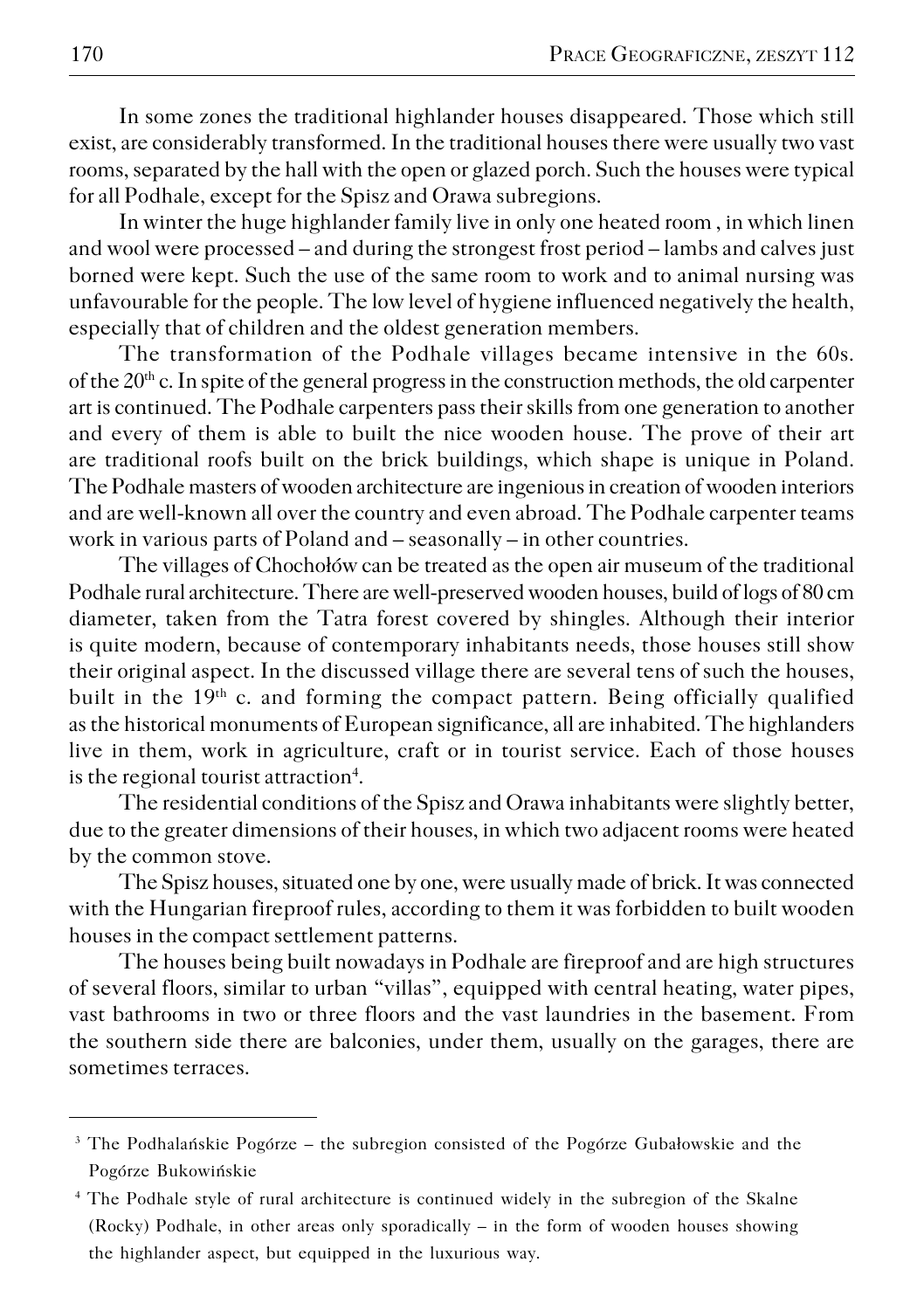In some zones the traditional highlander houses disappeared. Those which still exist, are considerably transformed. In the traditional houses there were usually two vast rooms, separated by the hall with the open or glazed porch. Such the houses were typical for all Podhale, except for the Spisz and Orawa subregions.

In winter the huge highlander family live in only one heated room , in which linen and wool were processed – and during the strongest frost period – lambs and calves just borned were kept. Such the use of the same room to work and to animal nursing was unfavourable for the people. The low level of hygiene influenced negatively the health, especially that of children and the oldest generation members.

The transformation of the Podhale villages became intensive in the 60s. of the  $20<sup>th</sup>$  c. In spite of the general progress in the construction methods, the old carpenter art is continued. The Podhale carpenters pass their skills from one generation to another and every of them is able to built the nice wooden house. The prove of their art are traditional roofs built on the brick buildings, which shape is unique in Poland. The Podhale masters of wooden architecture are ingenious in creation of wooden interiors and are well−known all over the country and even abroad. The Podhale carpenter teams work in various parts of Poland and – seasonally – in other countries.

The villages of Chochołów can be treated as the open air museum of the traditional Podhale rural architecture. There are well−preserved wooden houses, build of logs of 80 cm diameter, taken from the Tatra forest covered by shingles. Although their interior is quite modern, because of contemporary inhabitants needs, those houses still show their original aspect. In the discussed village there are several tens of such the houses, built in the  $19<sup>th</sup>$  c. and forming the compact pattern. Being officially qualified as the historical monuments of European significance, all are inhabited. The highlanders live in them, work in agriculture, craft or in tourist service. Each of those houses is the regional tourist attraction<sup>4</sup>.

The residential conditions of the Spisz and Orawa inhabitants were slightly better, due to the greater dimensions of their houses, in which two adjacent rooms were heated by the common stove.

The Spisz houses, situated one by one, were usually made of brick. It was connected with the Hungarian fireproof rules, according to them it was forbidden to built wooden houses in the compact settlement patterns.

The houses being built nowadays in Podhale are fireproof and are high structures of several floors, similar to urban "villas", equipped with central heating, water pipes, vast bathrooms in two or three floors and the vast laundries in the basement. From the southern side there are balconies, under them, usually on the garages, there are sometimes terraces.

<sup>&</sup>lt;sup>3</sup> The Podhalańskie Pogórze – the subregion consisted of the Pogórze Gubałowskie and the Pogórze Bukowińskie

<sup>4</sup> The Podhale style of rural architecture is continued widely in the subregion of the Skalne (Rocky) Podhale, in other areas only sporadically – in the form of wooden houses showing the highlander aspect, but equipped in the luxurious way.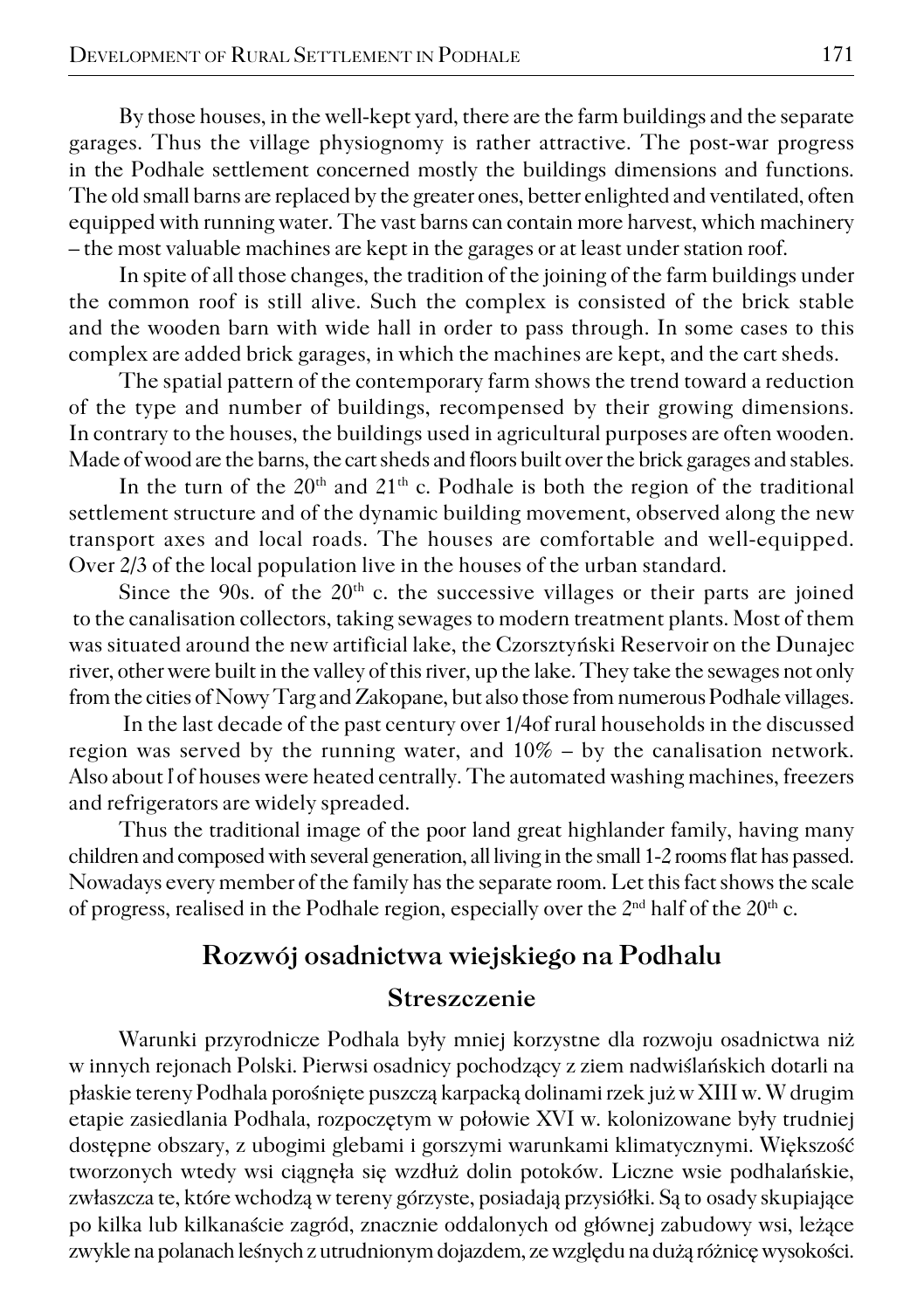By those houses, in the well−kept yard, there are the farm buildings and the separate garages. Thus the village physiognomy is rather attractive. The post−war progress in the Podhale settlement concerned mostly the buildings dimensions and functions. The old small barns are replaced by the greater ones, better enlighted and ventilated, often equipped with running water. The vast barns can contain more harvest, which machinery – the most valuable machines are kept in the garages or at least under station roof.

In spite of all those changes, the tradition of the joining of the farm buildings under the common roof is still alive. Such the complex is consisted of the brick stable and the wooden barn with wide hall in order to pass through. In some cases to this complex are added brick garages, in which the machines are kept, and the cart sheds.

The spatial pattern of the contemporary farm shows the trend toward a reduction of the type and number of buildings, recompensed by their growing dimensions. In contrary to the houses, the buildings used in agricultural purposes are often wooden. Made of wood are the barns, the cart sheds and floors built over the brick garages and stables.

In the turn of the  $20<sup>th</sup>$  and  $21<sup>th</sup>$  c. Podhale is both the region of the traditional settlement structure and of the dynamic building movement, observed along the new transport axes and local roads. The houses are comfortable and well−equipped. Over 2/3 of the local population live in the houses of the urban standard.

Since the 90s. of the  $20<sup>th</sup>$  c. the successive villages or their parts are joined to the canalisation collectors, taking sewages to modern treatment plants. Most of them was situated around the new artificial lake, the Czorsztyński Reservoir on the Dunajec river, other were built in the valley of this river, up the lake. They take the sewages not only from the cities of Nowy Targ and Zakopane, but also those from numerous Podhale villages.

 In the last decade of the past century over 1/4of rural households in the discussed region was served by the running water, and 10% – by the canalisation network. Also about I of houses were heated centrally. The automated washing machines, freezers and refrigerators are widely spreaded.

Thus the traditional image of the poor land great highlander family, having many children and composed with several generation, all living in the small 1−2 rooms flat has passed. Nowadays every member of the family has the separate room. Let this fact shows the scale of progress, realised in the Podhale region, especially over the  $2<sup>nd</sup>$  half of the  $20<sup>th</sup>$  c.

## **Rozwój osadnictwa wiejskiego na Podhalu Streszczenie**

Warunki przyrodnicze Podhala były mniej korzystne dla rozwoju osadnictwa niż w innych rejonach Polski. Pierwsi osadnicy pochodzący z ziem nadwiślańskich dotarli na płaskie tereny Podhala porośnięte puszczą karpacką dolinami rzek już w XIII w. W drugim etapie zasiedlania Podhala, rozpoczętym w połowie XVI w. kolonizowane były trudniej dostępne obszary, z ubogimi glebami i gorszymi warunkami klimatycznymi. Większość tworzonych wtedy wsi ciągnęła się wzdłuż dolin potoków. Liczne wsie podhalańskie, zwłaszcza te, które wchodzą w tereny górzyste, posiadają przysiółki. Są to osady skupiające po kilka lub kilkanaście zagród, znacznie oddalonych od głównej zabudowy wsi, leżące zwykle na polanach leśnych z utrudnionym dojazdem, ze względu na dużą różnicę wysokości.